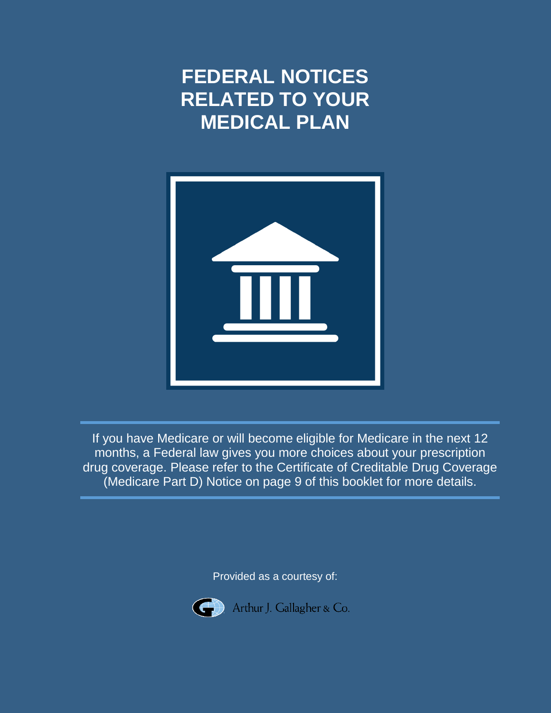# **FEDERAL NOTICES RELATED TO YOUR MEDICAL PLAN**



If you have Medicare or will become eligible for Medicare in the next 12 months, a Federal law gives you more choices about your prescription drug coverage. Please refer to the Certificate of Creditable Drug Coverage (Medicare Part D) Notice on page 9 of this booklet for more details.

Provided as a courtesy of:

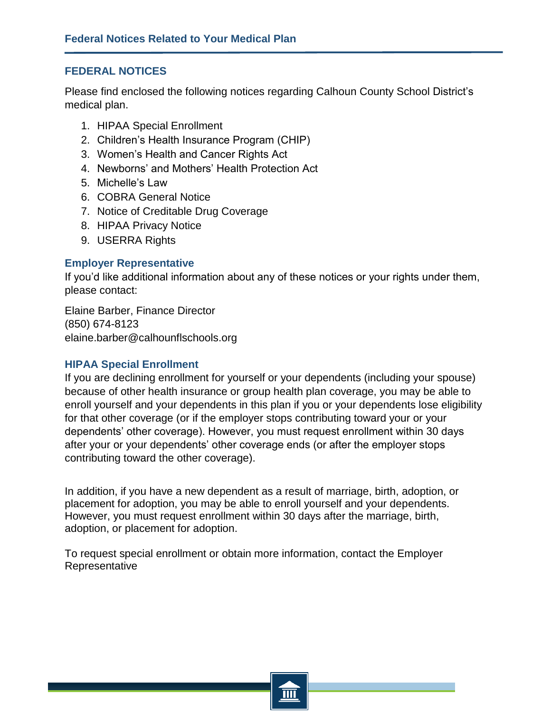## **FEDERAL NOTICES**

Please find enclosed the following notices regarding Calhoun County School District's medical plan.

- 1. HIPAA Special Enrollment
- 2. Children's Health Insurance Program (CHIP)
- 3. Women's Health and Cancer Rights Act
- 4. Newborns' and Mothers' Health Protection Act
- 5. Michelle's Law
- 6. COBRA General Notice
- 7. Notice of Creditable Drug Coverage
- 8. HIPAA Privacy Notice
- 9. USERRA Rights

## **Employer Representative**

If you'd like additional information about any of these notices or your rights under them, please contact:

Elaine Barber, Finance Director (850) 674-8123 elaine.barber@calhounflschools.org

## **HIPAA Special Enrollment**

If you are declining enrollment for yourself or your dependents (including your spouse) because of other health insurance or group health plan coverage, you may be able to enroll yourself and your dependents in this plan if you or your dependents lose eligibility for that other coverage (or if the employer stops contributing toward your or your dependents' other coverage). However, you must request enrollment within 30 days after your or your dependents' other coverage ends (or after the employer stops contributing toward the other coverage).

In addition, if you have a new dependent as a result of marriage, birth, adoption, or placement for adoption, you may be able to enroll yourself and your dependents. However, you must request enrollment within 30 days after the marriage, birth, adoption, or placement for adoption.

To request special enrollment or obtain more information, contact the Employer **Representative** 

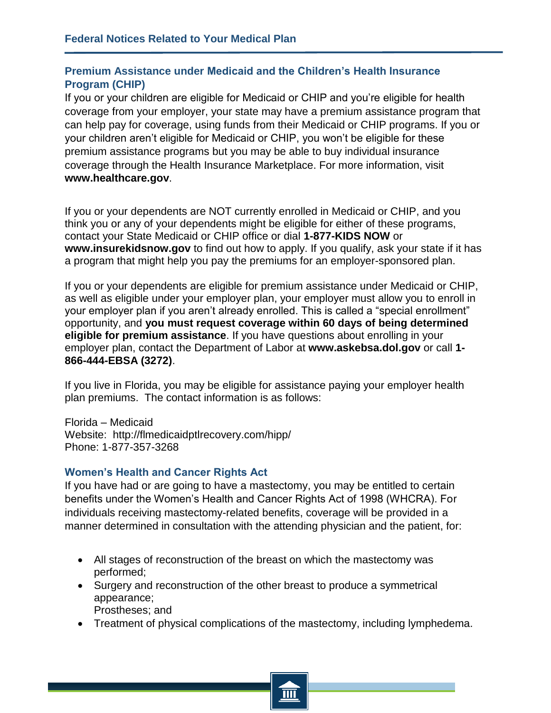## **Premium Assistance under Medicaid and the Children's Health Insurance Program (CHIP)**

If you or your children are eligible for Medicaid or CHIP and you're eligible for health coverage from your employer, your state may have a premium assistance program that can help pay for coverage, using funds from their Medicaid or CHIP programs. If you or your children aren't eligible for Medicaid or CHIP, you won't be eligible for these premium assistance programs but you may be able to buy individual insurance coverage through the Health Insurance Marketplace. For more information, visit **www.healthcare.gov**.

If you or your dependents are NOT currently enrolled in Medicaid or CHIP, and you think you or any of your dependents might be eligible for either of these programs, contact your State Medicaid or CHIP office or dial **1-877-KIDS NOW** or **www.insurekidsnow.gov** to find out how to apply. If you qualify, ask your state if it has a program that might help you pay the premiums for an employer-sponsored plan.

If you or your dependents are eligible for premium assistance under Medicaid or CHIP, as well as eligible under your employer plan, your employer must allow you to enroll in your employer plan if you aren't already enrolled. This is called a "special enrollment" opportunity, and **you must request coverage within 60 days of being determined eligible for premium assistance**. If you have questions about enrolling in your employer plan, contact the Department of Labor at **www.askebsa.dol.gov** or call **1- 866-444-EBSA (3272)**.

If you live in Florida, you may be eligible for assistance paying your employer health plan premiums. The contact information is as follows:

Florida – Medicaid Website: http://flmedicaidptlrecovery.com/hipp/ Phone: 1-877-357-3268

## **Women's Health and Cancer Rights Act**

If you have had or are going to have a mastectomy, you may be entitled to certain benefits under the Women's Health and Cancer Rights Act of 1998 (WHCRA). For individuals receiving mastectomy-related benefits, coverage will be provided in a manner determined in consultation with the attending physician and the patient, for:

- All stages of reconstruction of the breast on which the mastectomy was performed;
- Surgery and reconstruction of the other breast to produce a symmetrical appearance; Prostheses; and
- Treatment of physical complications of the mastectomy, including lymphedema.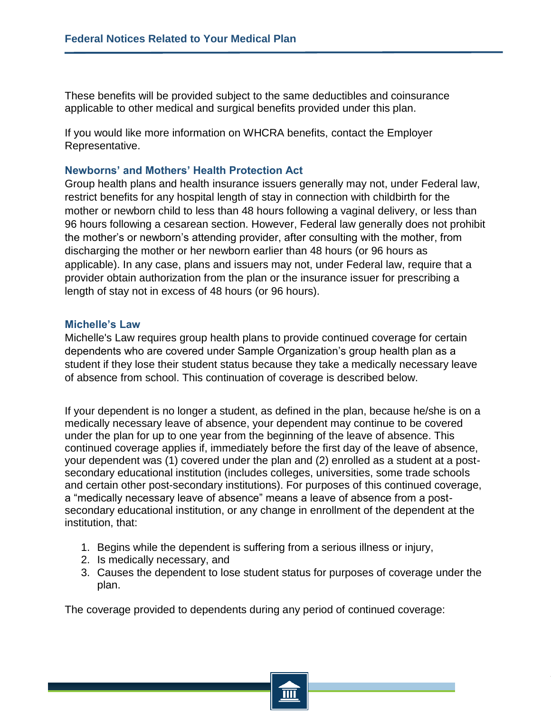These benefits will be provided subject to the same deductibles and coinsurance applicable to other medical and surgical benefits provided under this plan.

If you would like more information on WHCRA benefits, contact the Employer Representative.

## **Newborns' and Mothers' Health Protection Act**

Group health plans and health insurance issuers generally may not, under Federal law, restrict benefits for any hospital length of stay in connection with childbirth for the mother or newborn child to less than 48 hours following a vaginal delivery, or less than 96 hours following a cesarean section. However, Federal law generally does not prohibit the mother's or newborn's attending provider, after consulting with the mother, from discharging the mother or her newborn earlier than 48 hours (or 96 hours as applicable). In any case, plans and issuers may not, under Federal law, require that a provider obtain authorization from the plan or the insurance issuer for prescribing a length of stay not in excess of 48 hours (or 96 hours).

## **Michelle's Law**

Michelle's Law requires group health plans to provide continued coverage for certain dependents who are covered under Sample Organization's group health plan as a student if they lose their student status because they take a medically necessary leave of absence from school. This continuation of coverage is described below.

If your dependent is no longer a student, as defined in the plan, because he/she is on a medically necessary leave of absence, your dependent may continue to be covered under the plan for up to one year from the beginning of the leave of absence. This continued coverage applies if, immediately before the first day of the leave of absence, your dependent was (1) covered under the plan and (2) enrolled as a student at a postsecondary educational institution (includes colleges, universities, some trade schools and certain other post-secondary institutions). For purposes of this continued coverage, a "medically necessary leave of absence" means a leave of absence from a postsecondary educational institution, or any change in enrollment of the dependent at the institution, that:

- 1. Begins while the dependent is suffering from a serious illness or injury,
- 2. Is medically necessary, and
- 3. Causes the dependent to lose student status for purposes of coverage under the plan.

The coverage provided to dependents during any period of continued coverage:

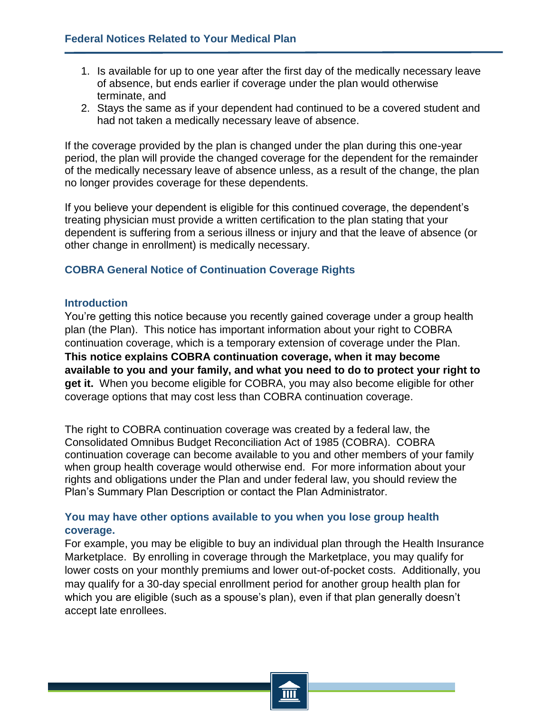- 1. Is available for up to one year after the first day of the medically necessary leave of absence, but ends earlier if coverage under the plan would otherwise terminate, and
- 2. Stays the same as if your dependent had continued to be a covered student and had not taken a medically necessary leave of absence.

If the coverage provided by the plan is changed under the plan during this one-year period, the plan will provide the changed coverage for the dependent for the remainder of the medically necessary leave of absence unless, as a result of the change, the plan no longer provides coverage for these dependents.

If you believe your dependent is eligible for this continued coverage, the dependent's treating physician must provide a written certification to the plan stating that your dependent is suffering from a serious illness or injury and that the leave of absence (or other change in enrollment) is medically necessary.

## **COBRA General Notice of Continuation Coverage Rights**

## **Introduction**

You're getting this notice because you recently gained coverage under a group health plan (the Plan). This notice has important information about your right to COBRA continuation coverage, which is a temporary extension of coverage under the Plan. **This notice explains COBRA continuation coverage, when it may become available to you and your family, and what you need to do to protect your right to get it.** When you become eligible for COBRA, you may also become eligible for other coverage options that may cost less than COBRA continuation coverage.

The right to COBRA continuation coverage was created by a federal law, the Consolidated Omnibus Budget Reconciliation Act of 1985 (COBRA). COBRA continuation coverage can become available to you and other members of your family when group health coverage would otherwise end. For more information about your rights and obligations under the Plan and under federal law, you should review the Plan's Summary Plan Description or contact the Plan Administrator.

## **You may have other options available to you when you lose group health coverage.**

For example, you may be eligible to buy an individual plan through the Health Insurance Marketplace. By enrolling in coverage through the Marketplace, you may qualify for lower costs on your monthly premiums and lower out-of-pocket costs. Additionally, you may qualify for a 30-day special enrollment period for another group health plan for which you are eligible (such as a spouse's plan), even if that plan generally doesn't accept late enrollees.

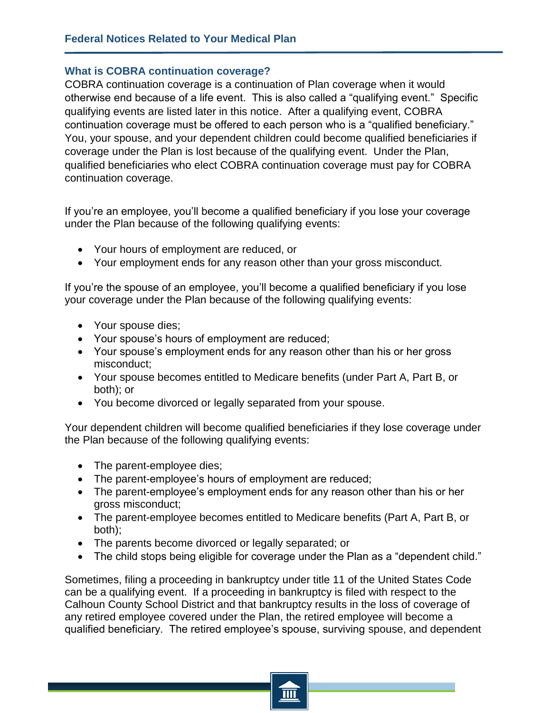## **What is COBRA continuation coverage?**

COBRA continuation coverage is a continuation of Plan coverage when it would otherwise end because of a life event. This is also called a "qualifying event." Specific qualifying events are listed later in this notice. After a qualifying event, COBRA continuation coverage must be offered to each person who is a "qualified beneficiary." You, your spouse, and your dependent children could become qualified beneficiaries if coverage under the Plan is lost because of the qualifying event. Under the Plan, qualified beneficiaries who elect COBRA continuation coverage must pay for COBRA continuation coverage.

If you're an employee, you'll become a qualified beneficiary if you lose your coverage under the Plan because of the following qualifying events:

- Your hours of employment are reduced, or
- Your employment ends for any reason other than your gross misconduct.

If you're the spouse of an employee, you'll become a qualified beneficiary if you lose your coverage under the Plan because of the following qualifying events:

- Your spouse dies;
- Your spouse's hours of employment are reduced;
- Your spouse's employment ends for any reason other than his or her gross misconduct;
- Your spouse becomes entitled to Medicare benefits (under Part A, Part B, or both); or
- You become divorced or legally separated from your spouse.

Your dependent children will become qualified beneficiaries if they lose coverage under the Plan because of the following qualifying events:

- The parent-employee dies;
- The parent-employee's hours of employment are reduced;
- The parent-employee's employment ends for any reason other than his or her gross misconduct;
- The parent-employee becomes entitled to Medicare benefits (Part A, Part B, or both);
- The parents become divorced or legally separated; or
- The child stops being eligible for coverage under the Plan as a "dependent child."

Sometimes, filing a proceeding in bankruptcy under title 11 of the United States Code can be a qualifying event. If a proceeding in bankruptcy is filed with respect to the Calhoun County School District and that bankruptcy results in the loss of coverage of any retired employee covered under the Plan, the retired employee will become a qualified beneficiary. The retired employee's spouse, surviving spouse, and dependent

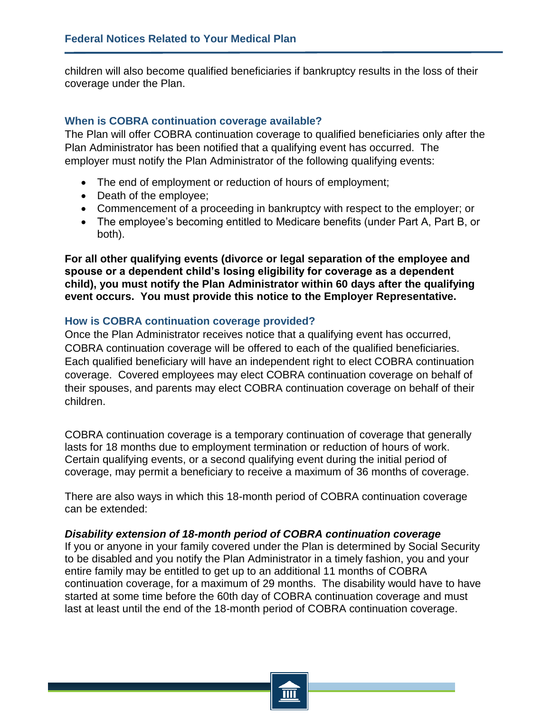children will also become qualified beneficiaries if bankruptcy results in the loss of their coverage under the Plan.

## **When is COBRA continuation coverage available?**

The Plan will offer COBRA continuation coverage to qualified beneficiaries only after the Plan Administrator has been notified that a qualifying event has occurred. The employer must notify the Plan Administrator of the following qualifying events:

- The end of employment or reduction of hours of employment;
- Death of the employee;
- Commencement of a proceeding in bankruptcy with respect to the employer; or
- The employee's becoming entitled to Medicare benefits (under Part A, Part B, or both).

**For all other qualifying events (divorce or legal separation of the employee and spouse or a dependent child's losing eligibility for coverage as a dependent child), you must notify the Plan Administrator within 60 days after the qualifying event occurs. You must provide this notice to the Employer Representative.**

## **How is COBRA continuation coverage provided?**

Once the Plan Administrator receives notice that a qualifying event has occurred, COBRA continuation coverage will be offered to each of the qualified beneficiaries. Each qualified beneficiary will have an independent right to elect COBRA continuation coverage. Covered employees may elect COBRA continuation coverage on behalf of their spouses, and parents may elect COBRA continuation coverage on behalf of their children.

COBRA continuation coverage is a temporary continuation of coverage that generally lasts for 18 months due to employment termination or reduction of hours of work. Certain qualifying events, or a second qualifying event during the initial period of coverage, may permit a beneficiary to receive a maximum of 36 months of coverage.

There are also ways in which this 18-month period of COBRA continuation coverage can be extended:

## *Disability extension of 18-month period of COBRA continuation coverage*

If you or anyone in your family covered under the Plan is determined by Social Security to be disabled and you notify the Plan Administrator in a timely fashion, you and your entire family may be entitled to get up to an additional 11 months of COBRA continuation coverage, for a maximum of 29 months. The disability would have to have started at some time before the 60th day of COBRA continuation coverage and must last at least until the end of the 18-month period of COBRA continuation coverage.

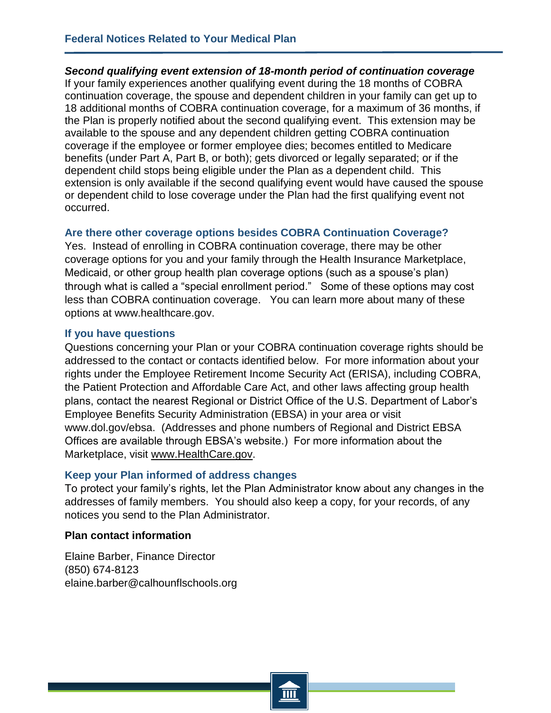*Second qualifying event extension of 18-month period of continuation coverage* If your family experiences another qualifying event during the 18 months of COBRA continuation coverage, the spouse and dependent children in your family can get up to 18 additional months of COBRA continuation coverage, for a maximum of 36 months, if the Plan is properly notified about the second qualifying event. This extension may be available to the spouse and any dependent children getting COBRA continuation coverage if the employee or former employee dies; becomes entitled to Medicare benefits (under Part A, Part B, or both); gets divorced or legally separated; or if the dependent child stops being eligible under the Plan as a dependent child. This extension is only available if the second qualifying event would have caused the spouse or dependent child to lose coverage under the Plan had the first qualifying event not occurred.

## **Are there other coverage options besides COBRA Continuation Coverage?**

Yes. Instead of enrolling in COBRA continuation coverage, there may be other coverage options for you and your family through the Health Insurance Marketplace, Medicaid, or other group health plan coverage options (such as a spouse's plan) through what is called a "special enrollment period." Some of these options may cost less than COBRA continuation coverage. You can learn more about many of these options at www.healthcare.gov.

## **If you have questions**

Questions concerning your Plan or your COBRA continuation coverage rights should be addressed to the contact or contacts identified below. For more information about your rights under the Employee Retirement Income Security Act (ERISA), including COBRA, the Patient Protection and Affordable Care Act, and other laws affecting group health plans, contact the nearest Regional or District Office of the U.S. Department of Labor's Employee Benefits Security Administration (EBSA) in your area or visit www.dol.gov/ebsa. (Addresses and phone numbers of Regional and District EBSA Offices are available through EBSA's website.) For more information about the Marketplace, visit [www.HealthCare.gov.](http://www.healthcare.gov/)

## **Keep your Plan informed of address changes**

To protect your family's rights, let the Plan Administrator know about any changes in the addresses of family members.You should also keep a copy, for your records, of any notices you send to the Plan Administrator.

## **Plan contact information**

Elaine Barber, Finance Director (850) 674-8123 elaine.barber@calhounflschools.org

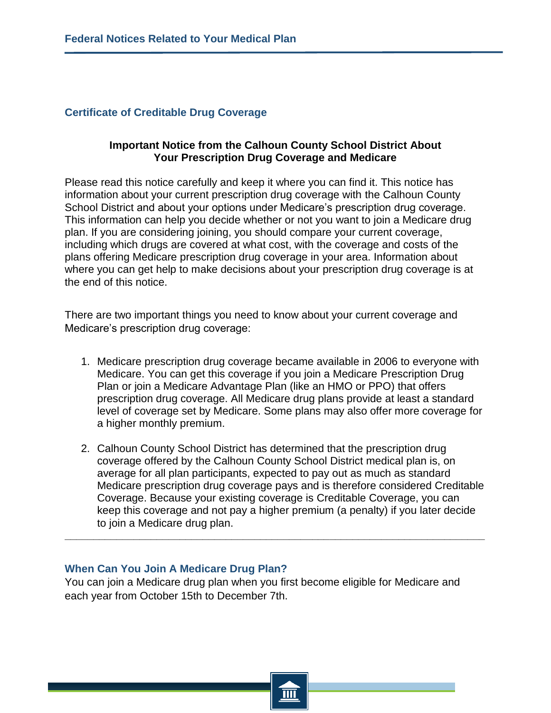## **Certificate of Creditable Drug Coverage**

## **Important Notice from the Calhoun County School District About Your Prescription Drug Coverage and Medicare**

Please read this notice carefully and keep it where you can find it. This notice has information about your current prescription drug coverage with the Calhoun County School District and about your options under Medicare's prescription drug coverage. This information can help you decide whether or not you want to join a Medicare drug plan. If you are considering joining, you should compare your current coverage, including which drugs are covered at what cost, with the coverage and costs of the plans offering Medicare prescription drug coverage in your area. Information about where you can get help to make decisions about your prescription drug coverage is at the end of this notice.

There are two important things you need to know about your current coverage and Medicare's prescription drug coverage:

- 1. Medicare prescription drug coverage became available in 2006 to everyone with Medicare. You can get this coverage if you join a Medicare Prescription Drug Plan or join a Medicare Advantage Plan (like an HMO or PPO) that offers prescription drug coverage. All Medicare drug plans provide at least a standard level of coverage set by Medicare. Some plans may also offer more coverage for a higher monthly premium.
- 2. Calhoun County School District has determined that the prescription drug coverage offered by the Calhoun County School District medical plan is, on average for all plan participants, expected to pay out as much as standard Medicare prescription drug coverage pays and is therefore considered Creditable Coverage. Because your existing coverage is Creditable Coverage, you can keep this coverage and not pay a higher premium (a penalty) if you later decide to join a Medicare drug plan.

**\_\_\_\_\_\_\_\_\_\_\_\_\_\_\_\_\_\_\_\_\_\_\_\_\_\_\_\_\_\_\_\_\_\_\_\_\_\_\_\_\_\_\_\_\_\_\_\_\_\_\_\_\_\_\_\_\_\_\_\_\_\_\_\_\_\_\_\_\_\_\_\_\_**

#### **When Can You Join A Medicare Drug Plan?**

You can join a Medicare drug plan when you first become eligible for Medicare and each year from October 15th to December 7th.

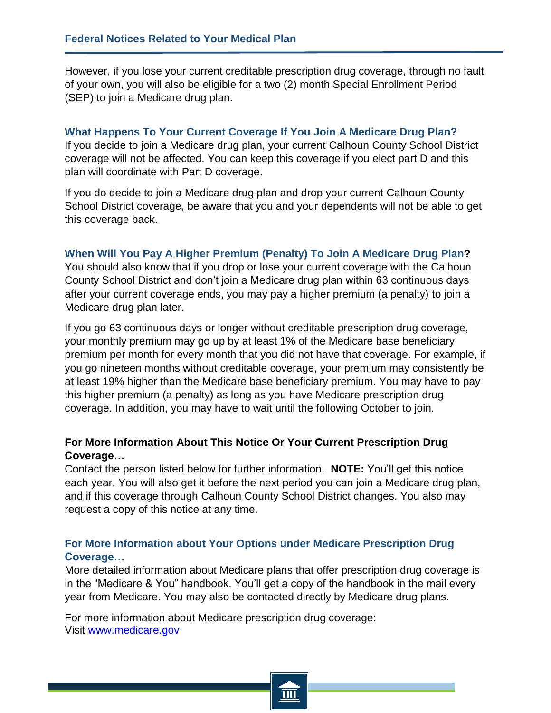However, if you lose your current creditable prescription drug coverage, through no fault of your own, you will also be eligible for a two (2) month Special Enrollment Period (SEP) to join a Medicare drug plan.

#### **What Happens To Your Current Coverage If You Join A Medicare Drug Plan?**

If you decide to join a Medicare drug plan, your current Calhoun County School District coverage will not be affected. You can keep this coverage if you elect part D and this plan will coordinate with Part D coverage.

If you do decide to join a Medicare drug plan and drop your current Calhoun County School District coverage, be aware that you and your dependents will not be able to get this coverage back.

## **When Will You Pay A Higher Premium (Penalty) To Join A Medicare Drug Plan?**

You should also know that if you drop or lose your current coverage with the Calhoun County School District and don't join a Medicare drug plan within 63 continuous days after your current coverage ends, you may pay a higher premium (a penalty) to join a Medicare drug plan later.

If you go 63 continuous days or longer without creditable prescription drug coverage, your monthly premium may go up by at least 1% of the Medicare base beneficiary premium per month for every month that you did not have that coverage. For example, if you go nineteen months without creditable coverage, your premium may consistently be at least 19% higher than the Medicare base beneficiary premium. You may have to pay this higher premium (a penalty) as long as you have Medicare prescription drug coverage. In addition, you may have to wait until the following October to join.

## **For More Information About This Notice Or Your Current Prescription Drug Coverage…**

Contact the person listed below for further information. **NOTE:** You'll get this notice each year. You will also get it before the next period you can join a Medicare drug plan, and if this coverage through Calhoun County School District changes. You also may request a copy of this notice at any time.

## **For More Information about Your Options under Medicare Prescription Drug Coverage…**

More detailed information about Medicare plans that offer prescription drug coverage is in the "Medicare & You" handbook. You'll get a copy of the handbook in the mail every year from Medicare. You may also be contacted directly by Medicare drug plans.

For more information about Medicare prescription drug coverage: Visit www.medicare.gov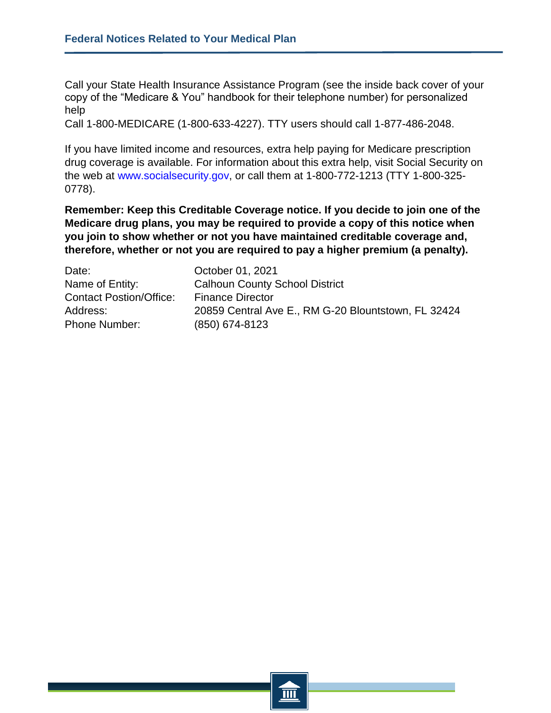Call your State Health Insurance Assistance Program (see the inside back cover of your copy of the "Medicare & You" handbook for their telephone number) for personalized help

Call 1-800-MEDICARE (1-800-633-4227). TTY users should call 1-877-486-2048.

If you have limited income and resources, extra help paying for Medicare prescription drug coverage is available. For information about this extra help, visit Social Security on the web at www.socialsecurity.gov, or call them at 1-800-772-1213 (TTY 1-800-325- 0778).

**Remember: Keep this Creditable Coverage notice. If you decide to join one of the Medicare drug plans, you may be required to provide a copy of this notice when you join to show whether or not you have maintained creditable coverage and, therefore, whether or not you are required to pay a higher premium (a penalty).**

| Date:                          | October 01, 2021                                    |
|--------------------------------|-----------------------------------------------------|
| Name of Entity:                | <b>Calhoun County School District</b>               |
| <b>Contact Postion/Office:</b> | <b>Finance Director</b>                             |
| Address:                       | 20859 Central Ave E., RM G-20 Blountstown, FL 32424 |
| Phone Number:                  | $(850)$ 674-8123                                    |

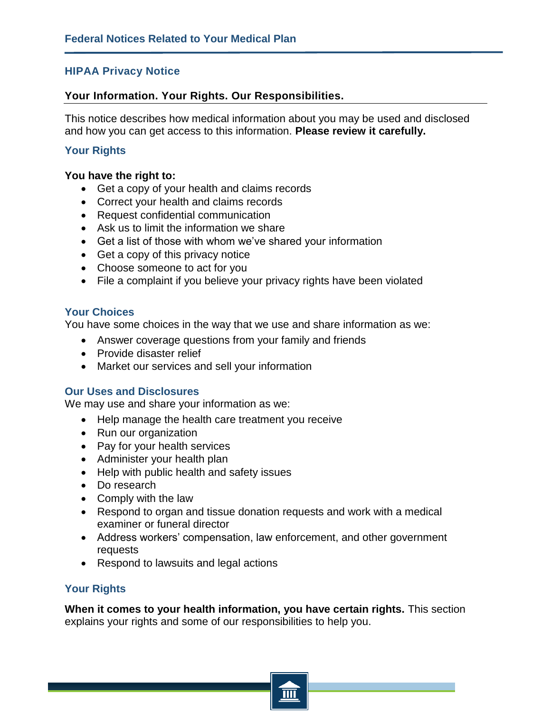## **HIPAA Privacy Notice**

## **Your Information. Your Rights. Our Responsibilities.**

This notice describes how medical information about you may be used and disclosed and how you can get access to this information. **Please review it carefully.**

## **Your Rights**

#### **You have the right to:**

- Get a copy of your health and claims records
- Correct your health and claims records
- Request confidential communication
- Ask us to limit the information we share
- Get a list of those with whom we've shared your information
- Get a copy of this privacy notice
- Choose someone to act for you
- File a complaint if you believe your privacy rights have been violated

## **Your Choices**

You have some choices in the way that we use and share information as we:

- Answer coverage questions from your family and friends
- Provide disaster relief
- Market our services and sell your information

## **Our Uses and Disclosures**

We may use and share your information as we:

- Help manage the health care treatment you receive
- Run our organization
- Pay for your health services
- Administer your health plan
- Help with public health and safety issues
- Do research
- Comply with the law
- Respond to organ and tissue donation requests and work with a medical examiner or funeral director
- Address workers' compensation, law enforcement, and other government requests
- Respond to lawsuits and legal actions

## **Your Rights**

**When it comes to your health information, you have certain rights.** This section explains your rights and some of our responsibilities to help you.

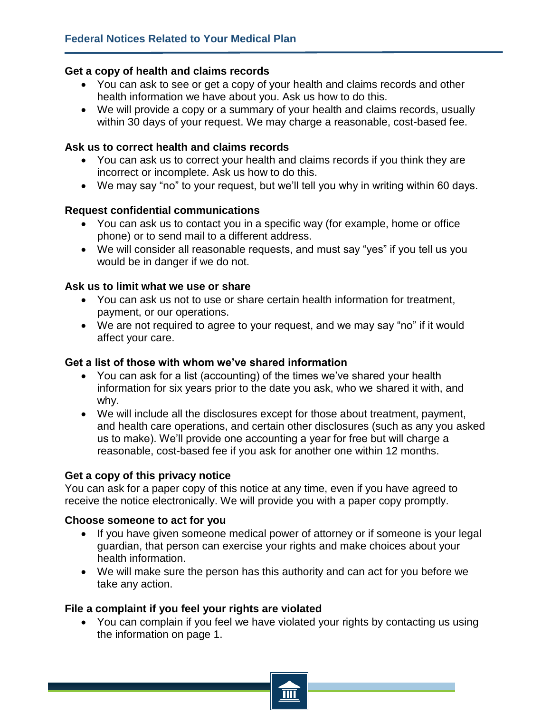## **Get a copy of health and claims records**

- You can ask to see or get a copy of your health and claims records and other health information we have about you. Ask us how to do this.
- We will provide a copy or a summary of your health and claims records, usually within 30 days of your request. We may charge a reasonable, cost-based fee.

#### **Ask us to correct health and claims records**

- You can ask us to correct your health and claims records if you think they are incorrect or incomplete. Ask us how to do this.
- We may say "no" to your request, but we'll tell you why in writing within 60 days.

#### **Request confidential communications**

- You can ask us to contact you in a specific way (for example, home or office phone) or to send mail to a different address.
- We will consider all reasonable requests, and must say "yes" if you tell us you would be in danger if we do not.

#### **Ask us to limit what we use or share**

- You can ask us not to use or share certain health information for treatment, payment, or our operations.
- We are not required to agree to your request, and we may say "no" if it would affect your care.

## **Get a list of those with whom we've shared information**

- You can ask for a list (accounting) of the times we've shared your health information for six years prior to the date you ask, who we shared it with, and why.
- We will include all the disclosures except for those about treatment, payment, and health care operations, and certain other disclosures (such as any you asked us to make). We'll provide one accounting a year for free but will charge a reasonable, cost-based fee if you ask for another one within 12 months.

#### **Get a copy of this privacy notice**

You can ask for a paper copy of this notice at any time, even if you have agreed to receive the notice electronically. We will provide you with a paper copy promptly.

#### **Choose someone to act for you**

- If you have given someone medical power of attorney or if someone is your legal guardian, that person can exercise your rights and make choices about your health information.
- We will make sure the person has this authority and can act for you before we take any action.

#### **File a complaint if you feel your rights are violated**

 You can complain if you feel we have violated your rights by contacting us using the information on page 1.

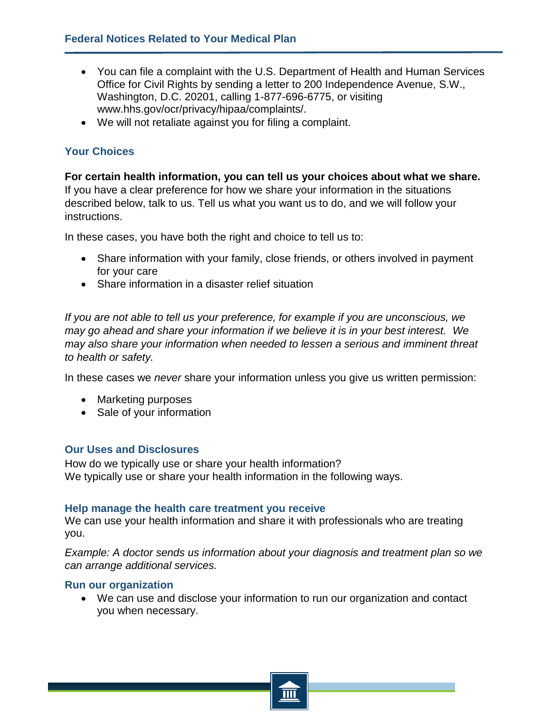- You can file a complaint with the U.S. Department of Health and Human Services Office for Civil Rights by sending a letter to 200 Independence Avenue, S.W., Washington, D.C. 20201, calling 1-877-696-6775, or visiting www.hhs.gov/ocr/privacy/hipaa/complaints/.
- We will not retaliate against you for filing a complaint.

## **Your Choices**

**For certain health information, you can tell us your choices about what we share.**  If you have a clear preference for how we share your information in the situations described below, talk to us. Tell us what you want us to do, and we will follow your instructions.

In these cases, you have both the right and choice to tell us to:

- Share information with your family, close friends, or others involved in payment for your care
- Share information in a disaster relief situation

*If you are not able to tell us your preference, for example if you are unconscious, we may go ahead and share your information if we believe it is in your best interest. We may also share your information when needed to lessen a serious and imminent threat to health or safety.*

In these cases we *never* share your information unless you give us written permission:

- Marketing purposes
- Sale of your information

## **Our Uses and Disclosures**

How do we typically use or share your health information? We typically use or share your health information in the following ways.

## **Help manage the health care treatment you receive**

We can use your health information and share it with professionals who are treating you.

*Example: A doctor sends us information about your diagnosis and treatment plan so we can arrange additional services.*

## **Run our organization**

 We can use and disclose your information to run our organization and contact you when necessary.

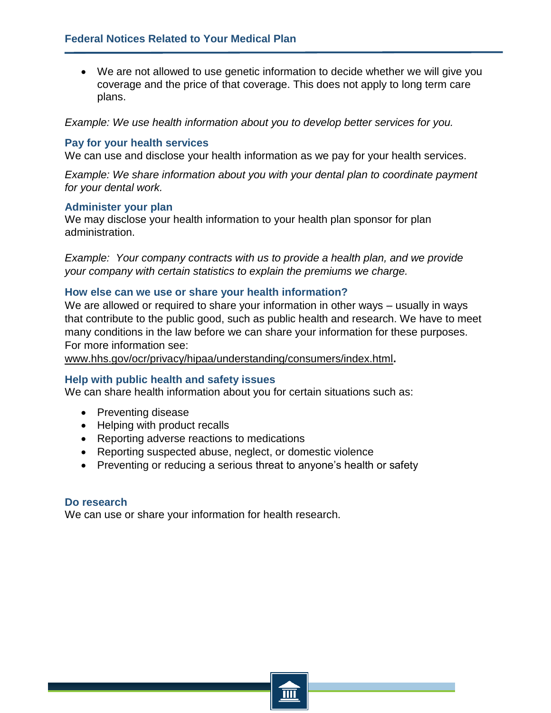We are not allowed to use genetic information to decide whether we will give you coverage and the price of that coverage. This does not apply to long term care plans.

*Example: We use health information about you to develop better services for you.*

## **Pay for your health services**

We can use and disclose your health information as we pay for your health services.

*Example: We share information about you with your dental plan to coordinate payment for your dental work.*

#### **Administer your plan**

We may disclose your health information to your health plan sponsor for plan administration.

*Example: Your company contracts with us to provide a health plan, and we provide your company with certain statistics to explain the premiums we charge.*

## **How else can we use or share your health information?**

We are allowed or required to share your information in other ways – usually in ways that contribute to the public good, such as public health and research. We have to meet many conditions in the law before we can share your information for these purposes. For more information see:

[www.hhs.gov/ocr/privacy/hipaa/understanding/consumers/index.html](http://www.hhs.gov/ocr/privacy/hipaa/understanding/consumers/index.html)**.**

## **Help with public health and safety issues**

We can share health information about you for certain situations such as:

- Preventing disease
- Helping with product recalls
- Reporting adverse reactions to medications
- Reporting suspected abuse, neglect, or domestic violence
- Preventing or reducing a serious threat to anyone's health or safety

#### **Do research**

We can use or share your information for health research.

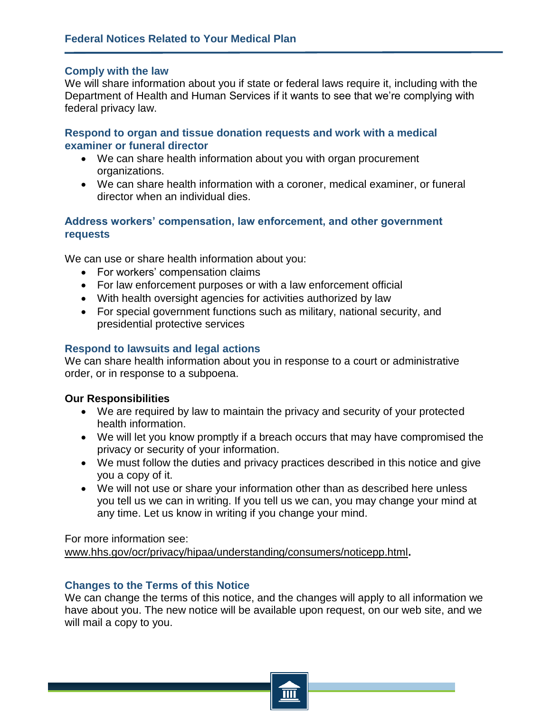#### **Comply with the law**

We will share information about you if state or federal laws require it, including with the Department of Health and Human Services if it wants to see that we're complying with federal privacy law.

#### **Respond to organ and tissue donation requests and work with a medical examiner or funeral director**

- We can share health information about you with organ procurement organizations.
- We can share health information with a coroner, medical examiner, or funeral director when an individual dies.

## **Address workers' compensation, law enforcement, and other government requests**

We can use or share health information about you:

- For workers' compensation claims
- For law enforcement purposes or with a law enforcement official
- With health oversight agencies for activities authorized by law
- For special government functions such as military, national security, and presidential protective services

## **Respond to lawsuits and legal actions**

We can share health information about you in response to a court or administrative order, or in response to a subpoena.

#### **Our Responsibilities**

- We are required by law to maintain the privacy and security of your protected health information.
- We will let you know promptly if a breach occurs that may have compromised the privacy or security of your information.
- We must follow the duties and privacy practices described in this notice and give you a copy of it.
- We will not use or share your information other than as described here unless you tell us we can in writing. If you tell us we can, you may change your mind at any time. Let us know in writing if you change your mind.

For more information see:

[www.hhs.gov/ocr/privacy/hipaa/understanding/consumers/noticepp.html](http://www.hhs.gov/ocr/privacy/hipaa/understanding/consumers/noticepp.html)**.**

## **Changes to the Terms of this Notice**

We can change the terms of this notice, and the changes will apply to all information we have about you. The new notice will be available upon request, on our web site, and we will mail a copy to you.

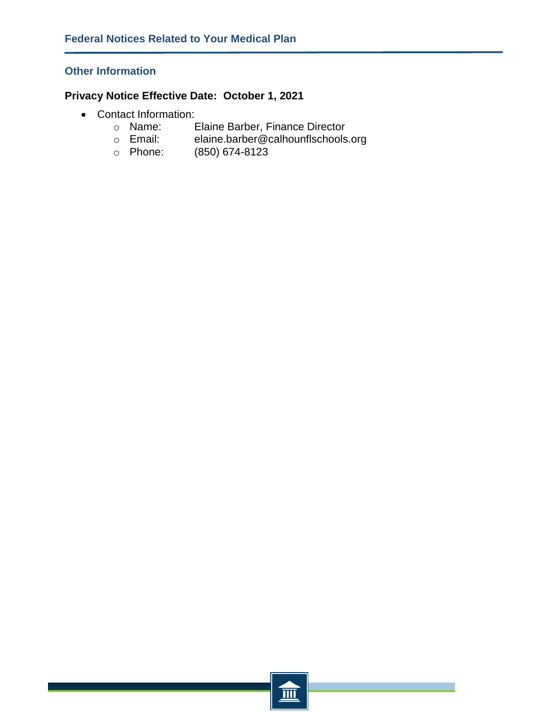## **Other Information**

## **Privacy Notice Effective Date: October 1, 2021**

- Contact Information:
	- o Name: Elaine Barber, Finance Director
	- o Email: elaine.barber@calhounflschools.org
	- o Phone: (850) 674-8123